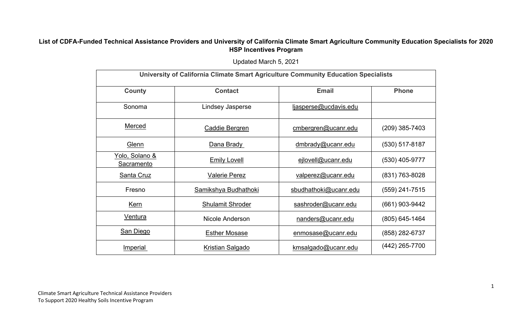## **List of CDFA-Funded Technical Assistance Providers and University of California Climate Smart Agriculture Community Education Specialists for 2020 HSP Incentives Program**

Updated March 5, 2021

| University of California Climate Smart Agriculture Community Education Specialists |                         |                       |                  |  |  |
|------------------------------------------------------------------------------------|-------------------------|-----------------------|------------------|--|--|
| <b>County</b>                                                                      | <b>Contact</b>          | <b>Email</b>          | <b>Phone</b>     |  |  |
| Sonoma                                                                             | Lindsey Jasperse        | ljasperse@ucdavis.edu |                  |  |  |
| Merced                                                                             | <b>Caddie Bergren</b>   | cmbergren@ucanr.edu   | $(209)$ 385-7403 |  |  |
| <b>Glenn</b>                                                                       | Dana Brady              | dmbrady@ucanr.edu     | $(530)$ 517-8187 |  |  |
| Yolo, Solano &<br>Sacramento                                                       | <b>Emily Lovell</b>     | ejlovell@ucanr.edu    | (530) 405-9777   |  |  |
| Santa Cruz                                                                         | <b>Valerie Perez</b>    | valperez@ucanr.edu    | (831) 763-8028   |  |  |
| Fresno                                                                             | Samikshya Budhathoki    | sbudhathoki@ucanr.edu | (559) 241-7515   |  |  |
| <b>Kern</b>                                                                        | <b>Shulamit Shroder</b> | sashroder@ucanr.edu   | (661) 903-9442   |  |  |
| <u>Ventura</u>                                                                     | Nicole Anderson         | nanders@ucanr.edu     | (805) 645-1464   |  |  |
| San Diego                                                                          | <b>Esther Mosase</b>    | enmosase@ucanr.edu    | (858) 282-6737   |  |  |
| <b>Imperial</b>                                                                    | <b>Kristian Salgado</b> | kmsalgado@ucanr.edu   | (442) 265-7700   |  |  |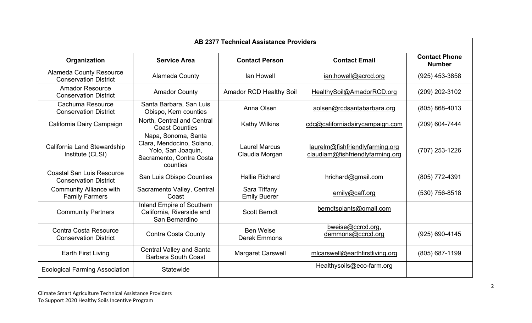| <b>AB 2377 Technical Assistance Providers</b>                    |                                                                                                                |                                         |                                                                     |                                       |  |
|------------------------------------------------------------------|----------------------------------------------------------------------------------------------------------------|-----------------------------------------|---------------------------------------------------------------------|---------------------------------------|--|
| Organization                                                     | <b>Service Area</b>                                                                                            | <b>Contact Person</b>                   | <b>Contact Email</b>                                                | <b>Contact Phone</b><br><b>Number</b> |  |
| <b>Alameda County Resource</b><br><b>Conservation District</b>   | <b>Alameda County</b>                                                                                          | lan Howell                              | ian.howell@acrcd.org                                                | $(925)$ 453-3858                      |  |
| <b>Amador Resource</b><br><b>Conservation District</b>           | <b>Amador County</b>                                                                                           | <b>Amador RCD Healthy Soil</b>          | HealthySoil@AmadorRCD.org                                           | (209) 202-3102                        |  |
| Cachuma Resource<br><b>Conservation District</b>                 | Santa Barbara, San Luis<br>Obispo, Kern counties                                                               | Anna Olsen                              | aolsen@rcdsantabarbara.org                                          | (805) 868-4013                        |  |
| California Dairy Campaign                                        | North, Central and Central<br><b>Coast Counties</b>                                                            | <b>Kathy Wilkins</b>                    | cdc@californiadairycampaign.com                                     | (209) 604-7444                        |  |
| California Land Stewardship<br>Institute (CLSI)                  | Napa, Sonoma, Santa<br>Clara, Mendocino, Solano,<br>Yolo, San Joaquin,<br>Sacramento, Contra Costa<br>counties | <b>Laurel Marcus</b><br>Claudia Morgan  | laurelm@fishfriendlyfarming.org<br>claudiam@fishfriendlyfarming.org | (707) 253-1226                        |  |
| <b>Coastal San Luis Resource</b><br><b>Conservation District</b> | San Luis Obispo Counties                                                                                       | <b>Hallie Richard</b>                   | hrichard@gmail.com                                                  | (805) 772-4391                        |  |
| <b>Community Alliance with</b><br><b>Family Farmers</b>          | Sacramento Valley, Central<br>Coast                                                                            | Sara Tiffany<br><b>Emily Buerer</b>     | emily@caff.org                                                      | (530) 756-8518                        |  |
| <b>Community Partners</b>                                        | Inland Empire of Southern<br>California, Riverside and<br>San Bernardino                                       | <b>Scott Berndt</b>                     | berndtsplants@gmail.com                                             |                                       |  |
| <b>Contra Costa Resource</b><br><b>Conservation District</b>     | <b>Contra Costa County</b>                                                                                     | <b>Ben Weise</b><br><b>Derek Emmons</b> | bweise@ccrcd.org,<br>demmons@ccrcd.org                              | (925) 690-4145                        |  |
| Earth First Living                                               | <b>Central Valley and Santa</b><br><b>Barbara South Coast</b>                                                  | <b>Margaret Carswell</b>                | mlcarswell@earthfirstliving.org                                     | (805) 687-1199                        |  |
| <b>Ecological Farming Association</b>                            | Statewide                                                                                                      |                                         | Healthysoils@eco-farm.org                                           |                                       |  |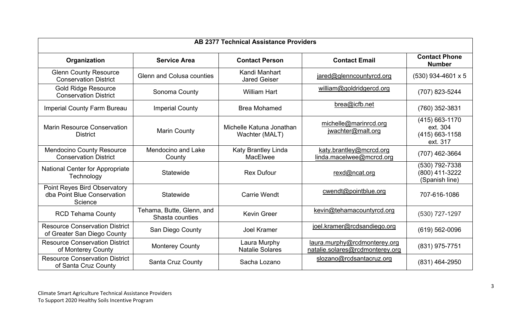| <b>AB 2377 Technical Assistance Providers</b>                                 |                                              |                                            |                                                                 |                                                          |  |
|-------------------------------------------------------------------------------|----------------------------------------------|--------------------------------------------|-----------------------------------------------------------------|----------------------------------------------------------|--|
| Organization                                                                  | <b>Service Area</b>                          | <b>Contact Person</b>                      | <b>Contact Email</b>                                            | <b>Contact Phone</b><br><b>Number</b>                    |  |
| <b>Glenn County Resource</b><br><b>Conservation District</b>                  | <b>Glenn and Colusa counties</b>             | Kandi Manhart<br><b>Jared Geiser</b>       | jared@glenncountyrcd.org                                        | $(530)$ 934-4601 x 5                                     |  |
| <b>Gold Ridge Resource</b><br><b>Conservation District</b>                    | Sonoma County                                | <b>William Hart</b>                        | william@goldridgercd.org                                        | (707) 823-5244                                           |  |
| Imperial County Farm Bureau                                                   | <b>Imperial County</b>                       | <b>Brea Mohamed</b>                        | brea@icfb.net                                                   | (760) 352-3831                                           |  |
| <b>Marin Resource Conservation</b><br><b>District</b>                         | <b>Marin County</b>                          | Michelle Katuna Jonathan<br>Wachter (MALT) | michelle@marinrcd.org<br>jwachter@malt.org                      | (415) 663-1170<br>ext. 304<br>(415) 663-1158<br>ext. 317 |  |
| <b>Mendocino County Resource</b><br><b>Conservation District</b>              | <b>Mendocino and Lake</b><br>County          | Katy Brantley Linda<br>MacElwee            | katy.brantley@mcrcd.org<br>linda.macelwee@mcrcd.org             | (707) 462-3664                                           |  |
| <b>National Center for Appropriate</b><br>Technology                          | Statewide                                    | <b>Rex Dufour</b>                          | rexd@ncat.org                                                   | (530) 792-7338<br>(800) 411-3222<br>(Spanish line)       |  |
| <b>Point Reyes Bird Observatory</b><br>dba Point Blue Conservation<br>Science | Statewide                                    | <b>Carrie Wendt</b>                        | cwendt@pointblue.org                                            | 707-616-1086                                             |  |
| <b>RCD Tehama County</b>                                                      | Tehama, Butte, Glenn, and<br>Shasta counties | <b>Kevin Greer</b>                         | kevin@tehamacountyrcd.org                                       | (530) 727-1297                                           |  |
| <b>Resource Conservation District</b><br>of Greater San Diego County          | San Diego County                             | <b>Joel Kramer</b>                         | joel.kramer@rcdsandiego.org                                     | $(619) 562 - 0096$                                       |  |
| <b>Resource Conservation District</b><br>of Monterey County                   | <b>Monterey County</b>                       | Laura Murphy<br><b>Natalie Solares</b>     | laura.murphy@rcdmonterey.org<br>natalie.solares@rcdmonterey.org | (831) 975-7751                                           |  |
| <b>Resource Conservation District</b><br>of Santa Cruz County                 | Santa Cruz County                            | Sacha Lozano                               | slozano@rcdsantacruz.org                                        | (831) 464-2950                                           |  |